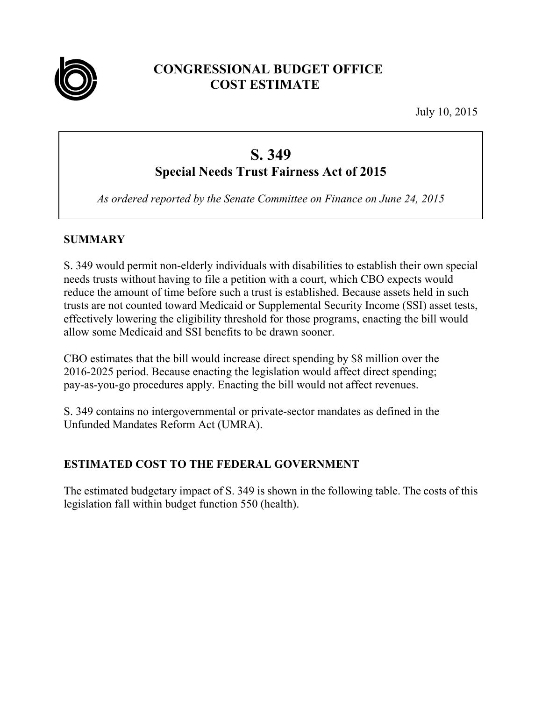

## **CONGRESSIONAL BUDGET OFFICE COST ESTIMATE**

July 10, 2015

# **S. 349**

## **Special Needs Trust Fairness Act of 2015**

*As ordered reported by the Senate Committee on Finance on June 24, 2015* 

## **SUMMARY**

S. 349 would permit non-elderly individuals with disabilities to establish their own special needs trusts without having to file a petition with a court, which CBO expects would reduce the amount of time before such a trust is established. Because assets held in such trusts are not counted toward Medicaid or Supplemental Security Income (SSI) asset tests, effectively lowering the eligibility threshold for those programs, enacting the bill would allow some Medicaid and SSI benefits to be drawn sooner.

CBO estimates that the bill would increase direct spending by \$8 million over the 2016-2025 period. Because enacting the legislation would affect direct spending; pay-as-you-go procedures apply. Enacting the bill would not affect revenues.

S. 349 contains no intergovernmental or private-sector mandates as defined in the Unfunded Mandates Reform Act (UMRA).

## **ESTIMATED COST TO THE FEDERAL GOVERNMENT**

The estimated budgetary impact of S. 349 is shown in the following table. The costs of this legislation fall within budget function 550 (health).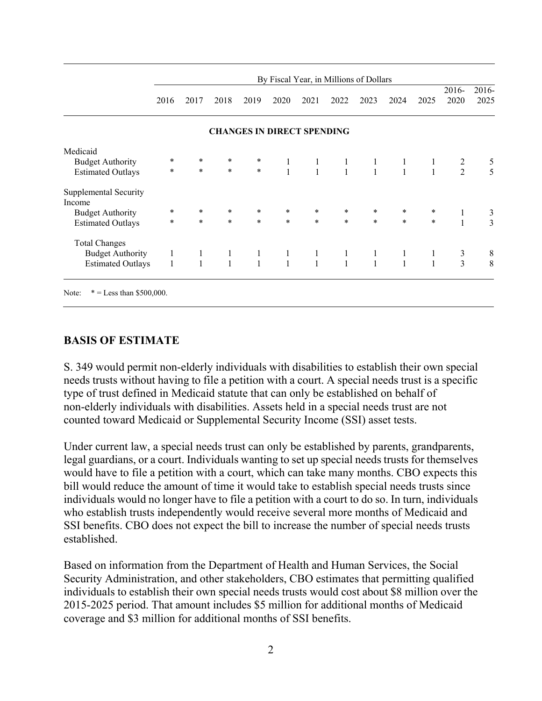|                                 | By Fiscal Year, in Millions of Dollars |              |              |                                   |              |              |              |              |              |              | $2016 -$       | 2016-          |
|---------------------------------|----------------------------------------|--------------|--------------|-----------------------------------|--------------|--------------|--------------|--------------|--------------|--------------|----------------|----------------|
|                                 | 2016                                   | 2017         | 2018         | 2019                              | 2020         | 2021         | 2022         | 2023         | 2024         | 2025         | 2020           | 2025           |
|                                 |                                        |              |              | <b>CHANGES IN DIRECT SPENDING</b> |              |              |              |              |              |              |                |                |
| Medicaid                        |                                        |              |              |                                   |              |              |              |              |              |              |                |                |
| <b>Budget Authority</b>         | $\ast$                                 | $\ast$       | $\ast$       | $\ast$                            | $\mathbf{1}$ | $\mathbf{1}$ | $\mathbf{1}$ | 1            | 1            | 1            | $\overline{2}$ |                |
| <b>Estimated Outlays</b>        | $\ast$                                 | $\ast$       | $\ast$       | $\ast$                            | $\mathbf{1}$ | $\mathbf{1}$ | $\mathbf{1}$ | $\mathbf{1}$ | $\mathbf{1}$ | $\mathbf{1}$ | $\overline{2}$ | $\frac{5}{5}$  |
| Supplemental Security<br>Income |                                        |              |              |                                   |              |              |              |              |              |              |                |                |
| <b>Budget Authority</b>         | $\ast$                                 | $\ast$       | $\ast$       | $\ast$                            | $\ast$       | $\ast$       | $\ast$       | $\ast$       | $\ast$       | $\ast$       | 1              | 3              |
| <b>Estimated Outlays</b>        | $\ast$                                 | $\ast$       | $\ast$       | $\ast$                            | $\ast$       | $\ast$       | $\ast$       | $\star$      | $\ast$       | $\ast$       | $\mathbf{1}$   | $\overline{3}$ |
| <b>Total Changes</b>            |                                        |              |              |                                   |              |              |              |              |              |              |                |                |
| <b>Budget Authority</b>         | $\mathbf{1}$                           | $\mathbf{1}$ | $\mathbf{1}$ | $\mathbf{1}$                      | $\mathbf{1}$ | $\mathbf{1}$ | $\mathbf{1}$ | 1            | 1            | 1            | 3              | 8              |
| <b>Estimated Outlays</b>        | $\mathbf{1}$                           | $\mathbf{1}$ | $\mathbf{1}$ | $\mathbf{1}$                      | $\mathbf{1}$ | $\mathbf{1}$ | $\mathbf{1}$ | $\mathbf{1}$ | $\mathbf{1}$ | $\mathbf{1}$ | 3              | 8              |

#### **BASIS OF ESTIMATE**

S. 349 would permit non-elderly individuals with disabilities to establish their own special needs trusts without having to file a petition with a court. A special needs trust is a specific type of trust defined in Medicaid statute that can only be established on behalf of non-elderly individuals with disabilities. Assets held in a special needs trust are not counted toward Medicaid or Supplemental Security Income (SSI) asset tests.

Under current law, a special needs trust can only be established by parents, grandparents, legal guardians, or a court. Individuals wanting to set up special needs trusts for themselves would have to file a petition with a court, which can take many months. CBO expects this bill would reduce the amount of time it would take to establish special needs trusts since individuals would no longer have to file a petition with a court to do so. In turn, individuals who establish trusts independently would receive several more months of Medicaid and SSI benefits. CBO does not expect the bill to increase the number of special needs trusts established.

Based on information from the Department of Health and Human Services, the Social Security Administration, and other stakeholders, CBO estimates that permitting qualified individuals to establish their own special needs trusts would cost about \$8 million over the 2015-2025 period. That amount includes \$5 million for additional months of Medicaid coverage and \$3 million for additional months of SSI benefits.